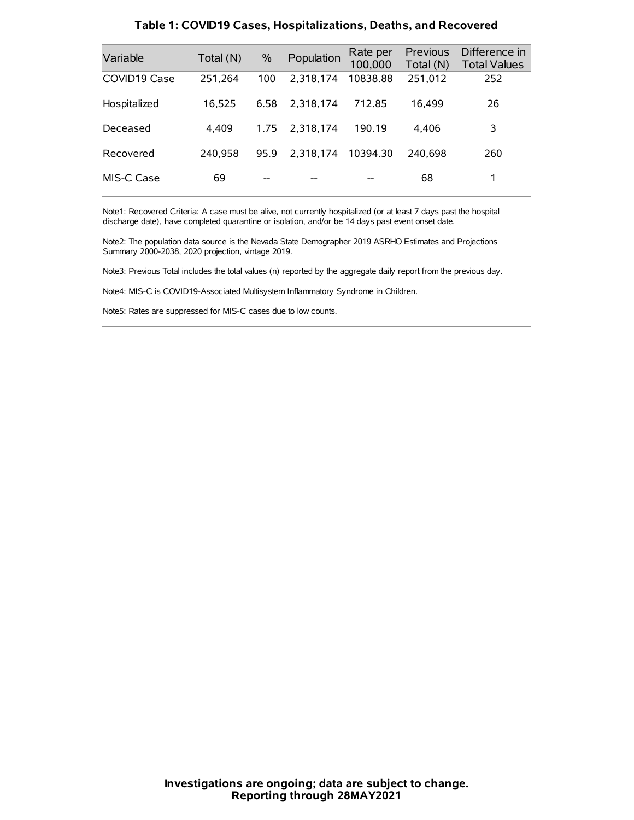| Variable     | Total (N) | $\frac{0}{0}$ | Population | Rate per<br>100,000 | Previous<br>Total (N) | Difference in<br><b>Total Values</b> |
|--------------|-----------|---------------|------------|---------------------|-----------------------|--------------------------------------|
| COVID19 Case | 251,264   | 100           | 2.318.174  | 10838.88            | 251,012               | 252                                  |
| Hospitalized | 16,525    | 6.58          | 2.318.174  | 712.85              | 16.499                | 26                                   |
| Deceased     | 4.409     | 1.75          | 2.318.174  | 190.19              | 4.406                 | 3                                    |
| Recovered    | 240.958   | 95.9          | 2.318.174  | 10394.30            | 240.698               | 260                                  |
| MIS-C Case   | 69        | --            |            |                     | 68                    |                                      |

#### **Table 1: COVID19 Cases, Hospitalizations, Deaths, and Recovered**

Note1: Recovered Criteria: A case must be alive, not currently hospitalized (or at least 7 days past the hospital discharge date), have completed quarantine or isolation, and/or be 14 days past event onset date.

Note2: The population data source is the Nevada State Demographer 2019 ASRHO Estimates and Projections Summary 2000-2038, 2020 projection, vintage 2019.

Note3: Previous Total includes the total values (n) reported by the aggregate daily report from the previous day.

Note4: MIS-C is COVID19-Associated Multisystem Inflammatory Syndrome in Children.

Note5: Rates are suppressed for MIS-C cases due to low counts.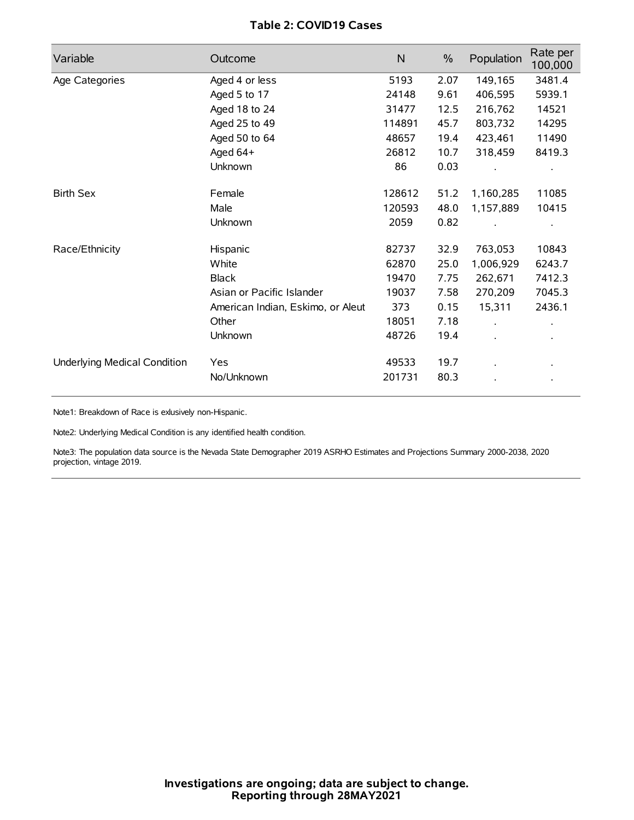## **Table 2: COVID19 Cases**

| Variable                     | Outcome                           | $\mathsf{N}$ | $\%$ | Population | Rate per<br>100,000 |
|------------------------------|-----------------------------------|--------------|------|------------|---------------------|
| Age Categories               | Aged 4 or less                    | 5193         | 2.07 | 149,165    | 3481.4              |
|                              | Aged 5 to 17                      | 24148        | 9.61 | 406,595    | 5939.1              |
|                              | Aged 18 to 24                     | 31477        | 12.5 | 216,762    | 14521               |
|                              | Aged 25 to 49                     | 114891       | 45.7 | 803,732    | 14295               |
|                              | Aged 50 to 64                     | 48657        | 19.4 | 423,461    | 11490               |
|                              | Aged 64+                          | 26812        | 10.7 | 318,459    | 8419.3              |
|                              | Unknown                           | 86           | 0.03 |            |                     |
| <b>Birth Sex</b>             | Female                            | 128612       | 51.2 | 1,160,285  | 11085               |
|                              | Male                              | 120593       | 48.0 | 1,157,889  | 10415               |
|                              | Unknown                           | 2059         | 0.82 |            |                     |
| Race/Ethnicity               | Hispanic                          | 82737        | 32.9 | 763,053    | 10843               |
|                              | White                             | 62870        | 25.0 | 1,006,929  | 6243.7              |
|                              | <b>Black</b>                      | 19470        | 7.75 | 262,671    | 7412.3              |
|                              | Asian or Pacific Islander         | 19037        | 7.58 | 270,209    | 7045.3              |
|                              | American Indian, Eskimo, or Aleut | 373          | 0.15 | 15,311     | 2436.1              |
|                              | Other                             | 18051        | 7.18 |            |                     |
|                              | Unknown                           | 48726        | 19.4 |            |                     |
| Underlying Medical Condition | Yes                               | 49533        | 19.7 |            |                     |
|                              | No/Unknown                        | 201731       | 80.3 |            |                     |

Note1: Breakdown of Race is exlusively non-Hispanic.

Note2: Underlying Medical Condition is any identified health condition.

Note3: The population data source is the Nevada State Demographer 2019 ASRHO Estimates and Projections Summary 2000-2038, 2020 projection, vintage 2019.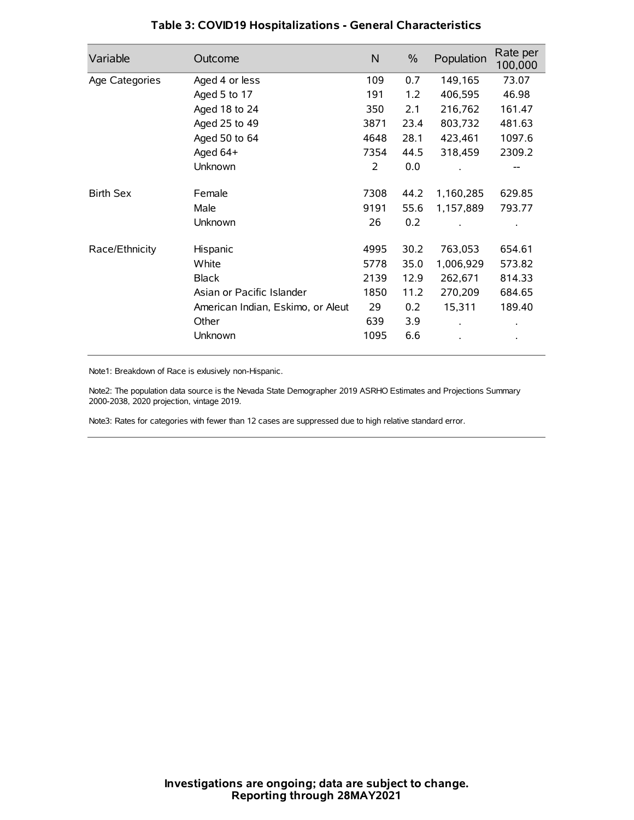| Variable         | Outcome                           | N    | $\%$ | Population | Rate per<br>100,000 |
|------------------|-----------------------------------|------|------|------------|---------------------|
| Age Categories   | Aged 4 or less                    | 109  | 0.7  | 149,165    | 73.07               |
|                  | Aged 5 to 17                      | 191  | 1.2  | 406,595    | 46.98               |
|                  | Aged 18 to 24                     | 350  | 2.1  | 216,762    | 161.47              |
|                  | Aged 25 to 49                     | 3871 | 23.4 | 803,732    | 481.63              |
|                  | Aged 50 to 64                     | 4648 | 28.1 | 423,461    | 1097.6              |
|                  | Aged 64+                          | 7354 | 44.5 | 318,459    | 2309.2              |
|                  | Unknown                           | 2    | 0.0  |            | --                  |
| <b>Birth Sex</b> | Female                            | 7308 | 44.2 | 1,160,285  | 629.85              |
|                  | Male                              | 9191 | 55.6 | 1,157,889  | 793.77              |
|                  | Unknown                           | 26   | 0.2  |            |                     |
| Race/Ethnicity   | Hispanic                          | 4995 | 30.2 | 763,053    | 654.61              |
|                  | White                             | 5778 | 35.0 | 1,006,929  | 573.82              |
|                  | <b>Black</b>                      | 2139 | 12.9 | 262,671    | 814.33              |
|                  | Asian or Pacific Islander         | 1850 | 11.2 | 270,209    | 684.65              |
|                  | American Indian, Eskimo, or Aleut | 29   | 0.2  | 15,311     | 189.40              |
|                  | Other                             | 639  | 3.9  |            |                     |
|                  | Unknown                           | 1095 | 6.6  |            |                     |

## **Table 3: COVID19 Hospitalizations - General Characteristics**

Note1: Breakdown of Race is exlusively non-Hispanic.

Note2: The population data source is the Nevada State Demographer 2019 ASRHO Estimates and Projections Summary 2000-2038, 2020 projection, vintage 2019.

Note3: Rates for categories with fewer than 12 cases are suppressed due to high relative standard error.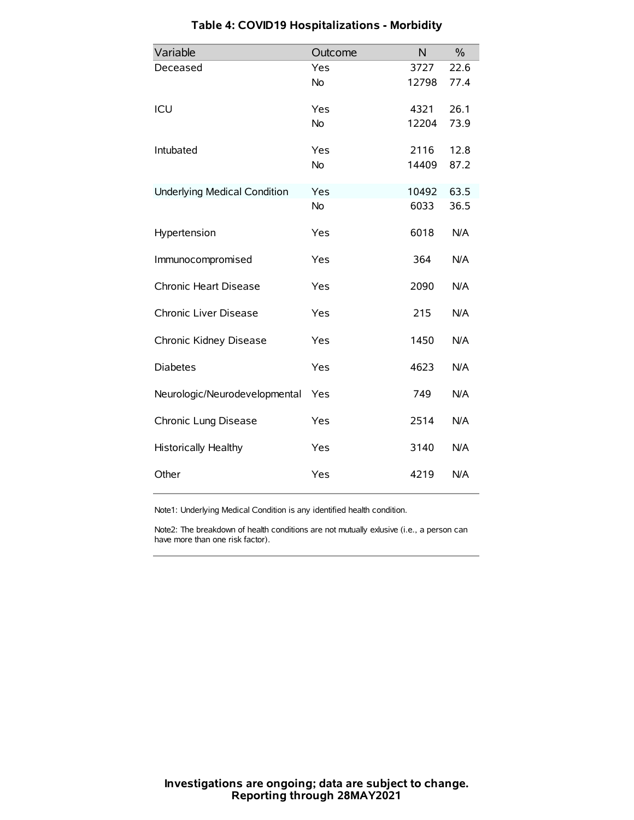| Variable                            | Outcome   | N     | $\frac{0}{0}$ |
|-------------------------------------|-----------|-------|---------------|
| Deceased                            | Yes       | 3727  | 22.6          |
|                                     | No        | 12798 | 77.4          |
| ICU                                 | Yes       | 4321  | 26.1          |
|                                     | <b>No</b> | 12204 | 73.9          |
| Intubated                           | Yes       | 2116  | 12.8          |
|                                     | No        | 14409 | 87.2          |
| <b>Underlying Medical Condition</b> | Yes       | 10492 | 63.5          |
|                                     | <b>No</b> | 6033  | 36.5          |
| Hypertension                        | Yes       | 6018  | N/A           |
| Immunocompromised                   | Yes       | 364   | N/A           |
| Chronic Heart Disease               | Yes       | 2090  | N/A           |
| Chronic Liver Disease               | Yes       | 215   | N/A           |
| Chronic Kidney Disease              | Yes       | 1450  | N/A           |
| <b>Diabetes</b>                     | Yes       | 4623  | N/A           |
| Neurologic/Neurodevelopmental       | Yes       | 749   | N/A           |
| Chronic Lung Disease                | Yes       | 2514  | N/A           |
| <b>Historically Healthy</b>         | Yes       | 3140  | N/A           |
| Other                               | Yes       | 4219  | N/A           |

# **Table 4: COVID19 Hospitalizations - Morbidity**

Note1: Underlying Medical Condition is any identified health condition.

Note2: The breakdown of health conditions are not mutually exlusive (i.e., a person can have more than one risk factor).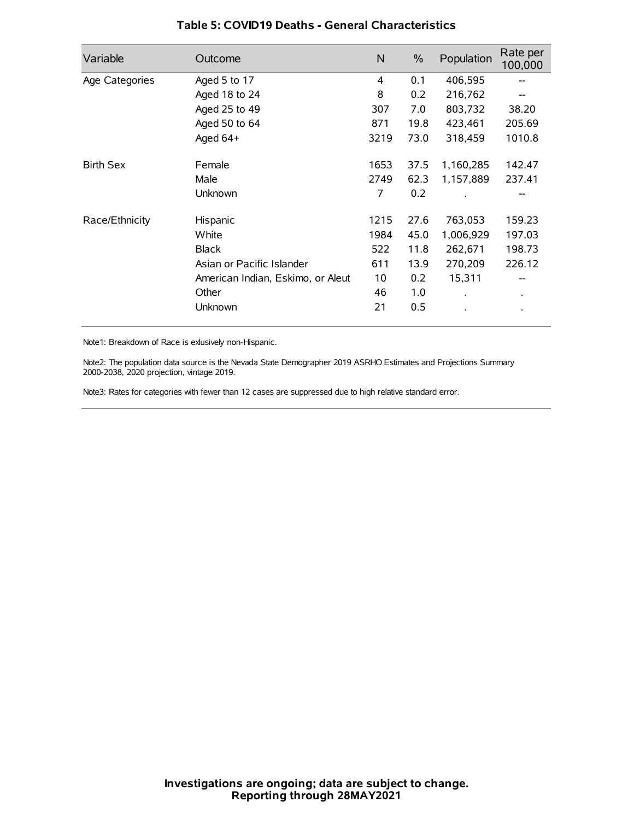| Variable         | Outcome                           | N    | $\%$ | Population           | Rate per<br>100,000 |
|------------------|-----------------------------------|------|------|----------------------|---------------------|
| Age Categories   | Aged 5 to 17                      | 4    | 0.1  | 406,595              | --                  |
|                  | Aged 18 to 24                     | 8    | 0.2  | 216,762              |                     |
|                  | Aged 25 to 49                     | 307  | 7.0  | 803,732              | 38.20               |
|                  | Aged 50 to 64                     | 871  | 19.8 | 423,461              | 205.69              |
|                  | Aged 64+                          | 3219 | 73.0 | 318,459              | 1010.8              |
| <b>Birth Sex</b> | Female                            | 1653 | 37.5 | 1,160,285            | 142.47              |
|                  | Male                              | 2749 | 62.3 | 1,157,889            | 237.41              |
|                  | Unknown                           | 7    | 0.2  |                      |                     |
| Race/Ethnicity   | Hispanic                          | 1215 | 27.6 | 763,053              | 159.23              |
|                  | White                             | 1984 | 45.0 | 1,006,929            | 197.03              |
|                  | <b>Black</b>                      | 522  | 11.8 | 262,671              | 198.73              |
|                  | Asian or Pacific Islander         | 611  | 13.9 | 270,209              | 226.12              |
|                  | American Indian, Eskimo, or Aleut | 10   | 0.2  | 15,311               | --                  |
|                  | Other                             | 46   | 1.0  | $\ddot{\phantom{0}}$ | $\bullet$           |
|                  | Unknown                           | 21   | 0.5  |                      |                     |

### **Table 5: COVID19 Deaths - General Characteristics**

Note1: Breakdown of Race is exlusively non-Hispanic.

Note2: The population data source is the Nevada State Demographer 2019 ASRHO Estimates and Projections Summary 2000-2038, 2020 projection, vintage 2019.

Note3: Rates for categories with fewer than 12 cases are suppressed due to high relative standard error.